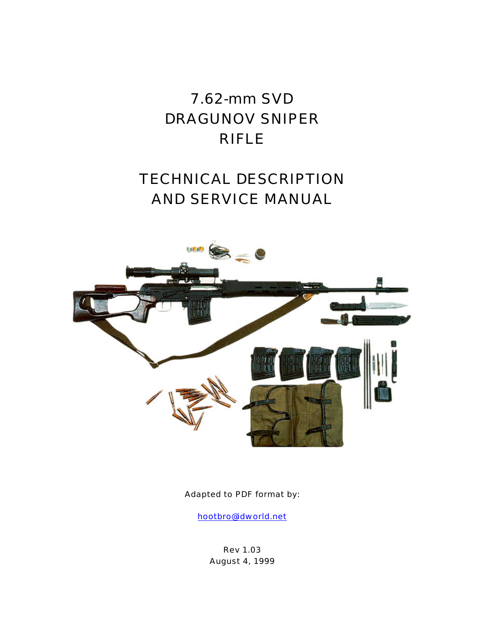# 7.62-mm SVD DRAGUNOV SNIPER RIFLE

# TECHNICAL DESCRIPTION AND SERVICE MANUAL



Adapted to PDF format by:

hootbro@idworld.net

Rev 1.03 August 4, 1999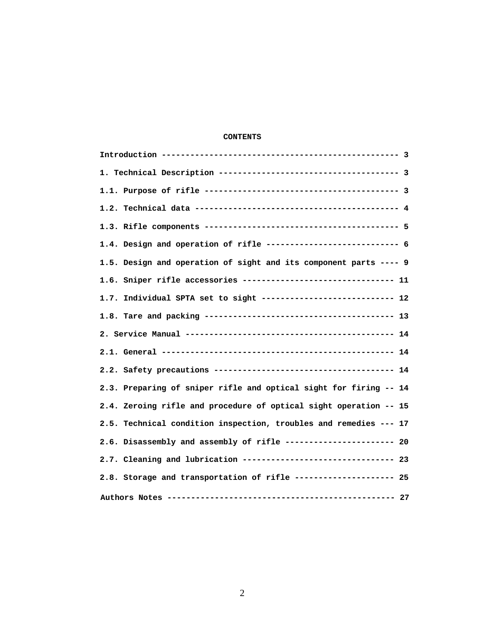# **CONTENTS**

| 1.4. Design and operation of rifle --------------------------- 6  |
|-------------------------------------------------------------------|
| 1.5. Design and operation of sight and its component parts ---- 9 |
|                                                                   |
|                                                                   |
|                                                                   |
|                                                                   |
|                                                                   |
|                                                                   |
| 2.3. Preparing of sniper rifle and optical sight for firing -- 14 |
| 2.4. Zeroing rifle and procedure of optical sight operation -- 15 |
| 2.5. Technical condition inspection, troubles and remedies --- 17 |
| 2.6. Disassembly and assembly of rifle ---------------------- 20  |
| 2.7. Cleaning and lubrication ------------------------------- 23  |
| 2.8. Storage and transportation of rifle -------------------- 25  |
|                                                                   |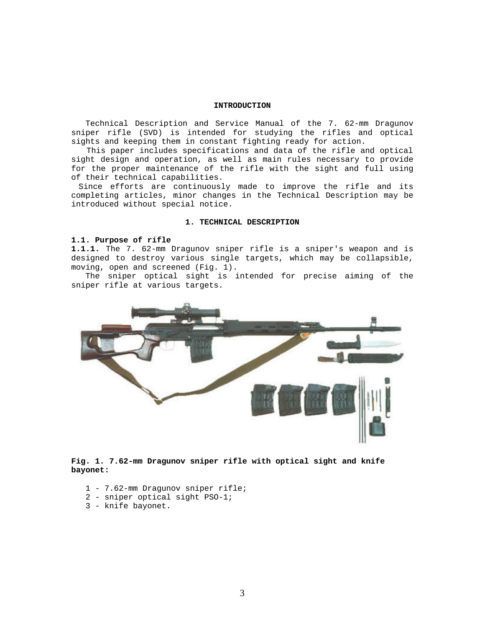### **INTRODUCTION**

 Technical Description and Service Manual of the 7. 62-mm Dragunov sniper rifle (SVD) is intended for studying the rifles and optical sights and keeping them in constant fighting ready for action.

 This paper includes specifications and data of the rifle and optical sight design and operation, as well as main rules necessary to provide for the proper maintenance of the rifle with the sight and full using of their technical capabilities.

 Since efforts are continuously made to improve the rifle and its completing articles, minor changes in the Technical Description may be introduced without special notice.

## **1. TECHNICAL DESCRIPTION**

### **1.1. Purpose of rifle**

**1.1.1.** The 7. 62-mm Dragunov sniper rifle is a sniper's weapon and is designed to destroy various single targets, which may be collapsible, moving, open and screened (Fig. 1).

 The sniper optical sight is intended for precise aiming of the sniper rifle at various targets.



**Fig. 1. 7.62-mm Dragunov sniper rifle with optical sight and knife bayonet:**

- 1 7.62-mm Dragunov sniper rifle;
- 2 sniper optical sight PSO-1;
- 3 knife bayonet.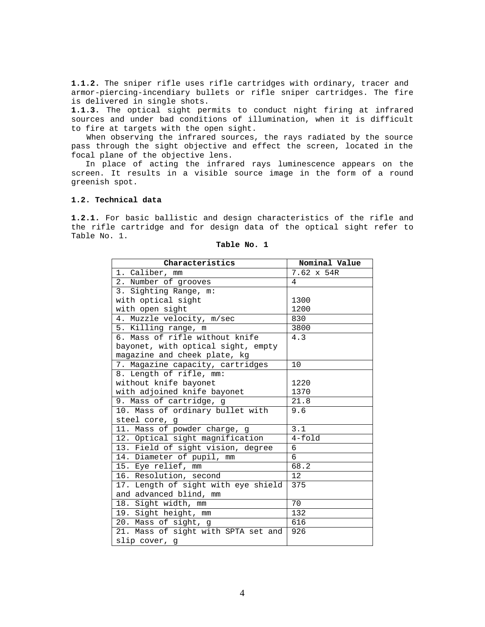**1.1.2.** The sniper rifle uses rifle cartridges with ordinary, tracer and armor-piercing-incendiary bullets or rifle sniper cartridges. The fire is delivered in single shots.

**1.1.3.** The optical sight permits to conduct night firing at infrared sources and under bad conditions of illumination, when it is difficult to fire at targets with the open sight.

 When observing the infrared sources, the rays radiated by the source pass through the sight objective and effect the screen, located in the focal plane of the objective lens.

 In place of acting the infrared rays luminescence appears on the screen. It results in a visible source image in the form of a round greenish spot.

## **1.2. Technical data**

**1.2.1.** For basic ballistic and design characteristics of the rifle and the rifle cartridge and for design data of the optical sight refer to Table No. 1.

| Characteristics                     | Nominal Value |
|-------------------------------------|---------------|
| 1. Caliber, mm                      | 7.62 x 54R    |
| 2. Number of grooves                | 4             |
| 3. Sighting Range, m:               |               |
| with optical sight                  | 1300          |
| with open sight                     | 1200          |
| 4. Muzzle velocity, m/sec           | 830           |
| 5. Killing range, m                 | 3800          |
| 6. Mass of rifle without knife      | 4.3           |
| bayonet, with optical sight, empty  |               |
| magazine and cheek plate, kg        |               |
| 7. Magazine capacity, cartridges    | 10            |
| 8. Length of rifle, mm:             |               |
| without knife bayonet               | 1220          |
| with adjoined knife bayonet         | 1370          |
| 9. Mass of cartridge, g             | 21.8          |
| 10. Mass of ordinary bullet with    | 9.6           |
| steel core, g                       |               |
| 11. Mass of powder charge, g        | 3.1           |
| 12. Optical sight magnification     | $4 - f$ old   |
| 13. Field of sight vision, degree   | 6             |
| 14. Diameter of pupil, mm           | 6             |
| 15. Eye relief, mm                  | 68.2          |
| 16. Resolution, second              | 12            |
| 17. Length of sight with eye shield | 375           |
| and advanced blind, mm              |               |
| 18. Sight width, mm                 | 70            |
| 19. Sight height, mm                | 132           |
| 20. Mass of sight, g                | 616           |
| 21. Mass of sight with SPTA set and | 926           |
| slip cover, g                       |               |

#### **Table No. 1**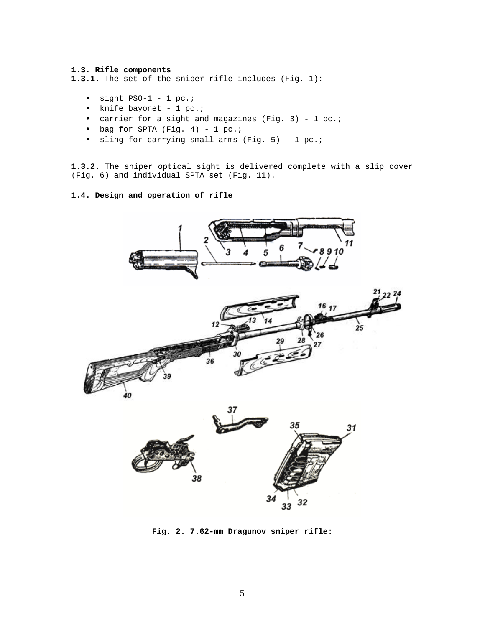## **1.3. Rifle components**

**1.3.1.** The set of the sniper rifle includes (Fig. 1):

- sight  $PSO-1 1 pc$ .;
- knife bayonet 1 pc.;
- carrier for a sight and magazines (Fig. 3) 1 pc.;
- bag for SPTA (Fig. 4) 1 pc.;
- sling for carrying small arms (Fig. 5) 1 pc.;

**1.3.2.** The sniper optical sight is delivered complete with a slip cover (Fig. 6) and individual SPTA set (Fig. 11).

# **1.4. Design and operation of rifle**







**Fig. 2. 7.62-mm Dragunov sniper rifle:**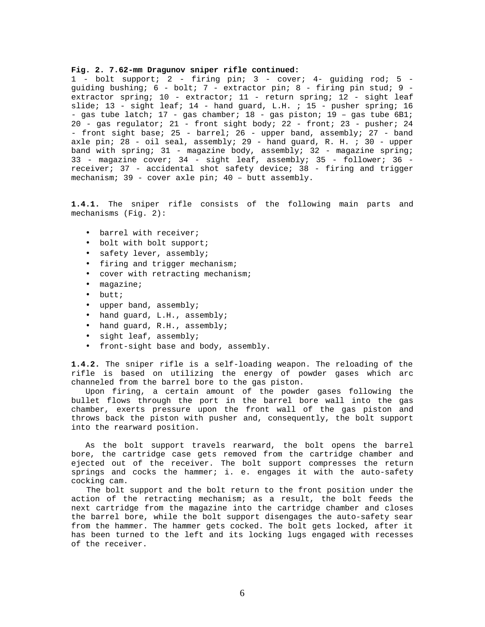#### **Fig. 2. 7.62-mm Dragunov sniper rifle continued:**

1 - bolt support; 2 - firing pin; 3 - cover; 4- guiding rod; 5 guiding bushing; 6 - bolt; 7 - extractor pin; 8 - firing pin stud; 9 extractor spring; 10 - extractor; 11 - return spring; 12 - sight leaf slide; 13 - sight leaf; 14 - hand guard, L.H. ; 15 - pusher spring; 16 - gas tube latch;  $17$  - gas chamber;  $18$  - gas piston;  $19$  - gas tube  $6B1$ ; 20 - gas regulator; 21 - front sight body; 22 - front; 23 - pusher; 24 - front sight base; 25 - barrel; 26 - upper band, assembly; 27 - band axle pin; 28 - oil seal, assembly; 29 - hand guard, R. H. ; 30 - upper band with spring; 31 - magazine body, assembly; 32 - magazine spring; 33 - magazine cover; 34 - sight leaf, assembly; 35 - follower; 36 receiver; 37 - accidental shot safety device; 38 - firing and trigger mechanism; 39 - cover axle pin; 40 – butt assembly.

**1.4.1.** The sniper rifle consists of the following main parts and mechanisms (Fig. 2):

- barrel with receiver;
- bolt with bolt support;
- safety lever, assembly;
- firing and trigger mechanism;
- cover with retracting mechanism;
- magazine;
- butt;
- upper band, assembly;
- hand guard, L.H., assembly;
- hand guard, R.H., assembly;
- sight leaf, assembly;
- front-sight base and body, assembly.

**1.4.2.** The sniper rifle is a self-loading weapon. The reloading of the rifle is based on utilizing the energy of powder gases which arc channeled from the barrel bore to the gas piston.

 Upon firing, a certain amount of the powder gases following the bullet flows through the port in the barrel bore wall into the gas chamber, exerts pressure upon the front wall of the gas piston and throws back the piston with pusher and, consequently, the bolt support into the rearward position.

 As the bolt support travels rearward, the bolt opens the barrel bore, the cartridge case gets removed from the cartridge chamber and ejected out of the receiver. The bolt support compresses the return springs and cocks the hammer; i. e. engages it with the auto-safety cocking cam.

 The bolt support and the bolt return to the front position under the action of the retracting mechanism; as a result, the bolt feeds the next cartridge from the magazine into the cartridge chamber and closes the barrel bore, while the bolt support disengages the auto-safety sear from the hammer. The hammer gets cocked. The bolt gets locked, after it has been turned to the left and its locking lugs engaged with recesses of the receiver.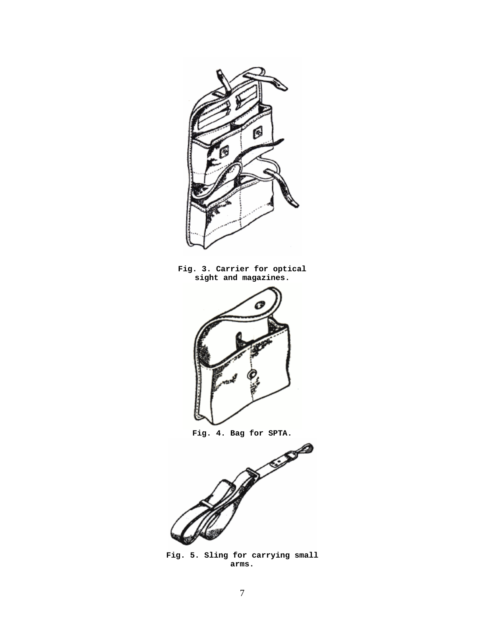

**Fig. 5. Sling for carrying small arms.**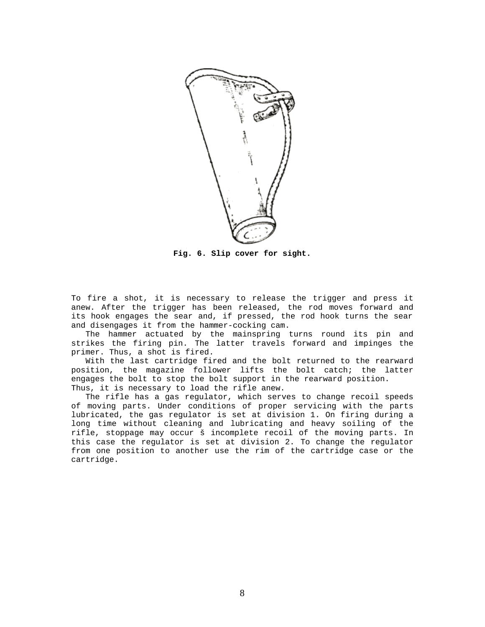

**Fig. 6. Slip cover for sight.**

To fire a shot, it is necessary to release the trigger and press it anew. After the trigger has been released, the rod moves forward and its hook engages the sear and, if pressed, the rod hook turns the sear and disengages it from the hammer-cocking cam.

 The hammer actuated by the mainspring turns round its pin and strikes the firing pin. The latter travels forward and impinges the primer. Thus, a shot is fired.

 With the last cartridge fired and the bolt returned to the rearward position, the magazine follower lifts the bolt catch; the latter engages the bolt to stop the bolt support in the rearward position. Thus, it is necessary to load the rifle anew.

 The rifle has a gas regulator, which serves to change recoil speeds of moving parts. Under conditions of proper servicing with the parts lubricated, the gas regulator is set at division 1. On firing during a long time without cleaning and lubricating and heavy soiling of the rifle, stoppage may occur š incomplete recoil of the moving parts. In this case the regulator is set at division 2. To change the regulator from one position to another use the rim of the cartridge case or the cartridge.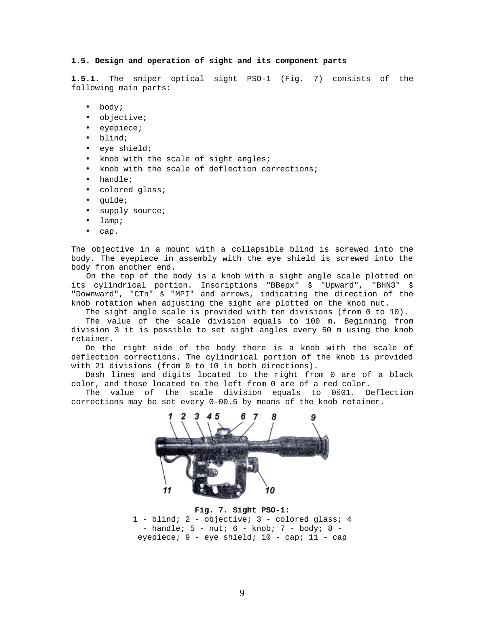### **1.5. Design and operation of sight and its component parts**

**1.5.1.** The sniper optical sight PSO-1 (Fig. 7) consists of the following main parts:

- body;
- objective;
- eyepiece;
- blind;
- eye shield;
- knob with the scale of sight angles;
- knob with the scale of deflection corrections;
- handle;
- colored glass;
- guide;
- supply source;
- lamp;
- cap.

The objective in a mount with a collapsible blind is screwed into the body. The eyepiece in assembly with the eye shield is screwed into the body from another end.

 On the top of the body is a knob with a sight angle scale plotted on its cylindrical portion. Inscriptions "BBepx" š "Upward", "BHN3" š "Downward", "CTn" š "MPI" and arrows, indicating the direction of the knob rotation when adjusting the sight are plotted on the knob nut.

The sight angle scale is provided with ten divisions (from 0 to 10).

 The value of the scale division equals to 100 m. Beginning from division 3 it is possible to set sight angles every 50 m using the knob retainer.

 On the right side of the body there is a knob with the scale of deflection corrections. The cylindrical portion of the knob is provided with 21 divisions (from 0 to 10 in both directions).

 Dash lines and digits located to the right from 0 are of a black color, and those located to the left from 0 are of a red color.

 The value of the scale division equals to 0š01. Deflection corrections may be set every 0-00.5 by means of the knob retainer.



**Fig. 7. Sight PSO-1:** 1 - blind; 2 - objective; 3 - colored glass; 4 - handle; 5 - nut; 6 - knob; 7 - body; 8 eyepiece; 9 - eye shield; 10 - cap; 11 – cap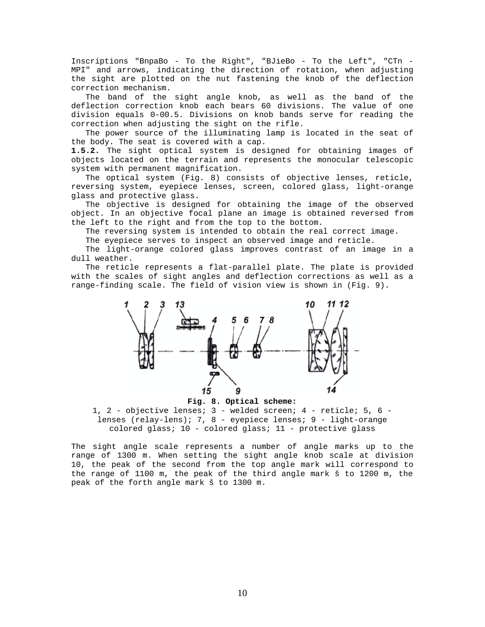Inscriptions "BnpaBo - To the Right", "BJieBo - To the Left", "CTn - MPI" and arrows, indicating the direction of rotation, when adjusting the sight are plotted on the nut fastening the knob of the deflection correction mechanism.

 The band of the sight angle knob, as well as the band of the deflection correction knob each bears 60 divisions. The value of one division equals 0-00.5. Divisions on knob bands serve for reading the correction when adjusting the sight on the rifle.

 The power source of the illuminating lamp is located in the seat of the body. The seat is covered with a cap.

**1.5.2.** The sight optical system is designed for obtaining images of objects located on the terrain and represents the monocular telescopic system with permanent magnification.

 The optical system (Fig. 8) consists of objective lenses, reticle, reversing system, eyepiece lenses, screen, colored glass, light-orange glass and protective glass.

 The objective is designed for obtaining the image of the observed object. In an objective focal plane an image is obtained reversed from the left to the right and from the top to the bottom.

The reversing system is intended to obtain the real correct image.

The eyepiece serves to inspect an observed image and reticle.

 The light-orange colored glass improves contrast of an image in a dull weather.

 The reticle represents a flat-parallel plate. The plate is provided with the scales of sight angles and deflection corrections as well as a range-finding scale. The field of vision view is shown in (Fig. 9).



**Fig. 8. Optical scheme:**

1, 2 - objective lenses; 3 - welded screen; 4 - reticle; 5, 6 lenses (relay-lens); 7, 8 - eyepiece lenses; 9 - light-orange colored glass; 10 - colored glass; 11 - protective glass

The sight angle scale represents a number of angle marks up to the range of 1300 m. When setting the sight angle knob scale at division 10, the peak of the second from the top angle mark will correspond to the range of 1100 m, the peak of the third angle mark š to 1200 m, the peak of the forth angle mark š to 1300 m.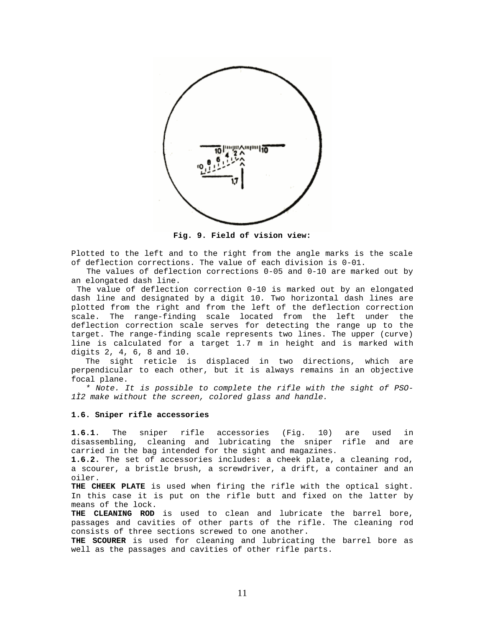

**Fig. 9. Field of vision view:**

Plotted to the left and to the right from the angle marks is the scale of deflection corrections. The value of each division is 0-01.

 The values of deflection corrections 0-05 and 0-10 are marked out by an elongated dash line.

 The value of deflection correction 0-10 is marked out by an elongated dash line and designated by a digit 10. Two horizontal dash lines are plotted from the right and from the left of the deflection correction scale. The range-finding scale located from the left under the deflection correction scale serves for detecting the range up to the target. The range-finding scale represents two lines. The upper (curve) line is calculated for a target 1.7 m in height and is marked with digits 2, 4, 6, 8 and 10.

 The sight reticle is displaced in two directions, which are perpendicular to each other, but it is always remains in an objective focal plane.

 *\* Note. It is possible to complete the rifle with the sight of PSO-1Ì2 make without the screen, colored glass and handle.*

### **1.6. Sniper rifle accessories**

**1.6.1**. The sniper rifle accessories (Fig. 10) are used in disassembling, cleaning and lubricating the sniper rifle and are carried in the bag intended for the sight and magazines.

**1.6.2.** The set of accessories includes: a cheek plate, a cleaning rod, a scourer, a bristle brush, a screwdriver, a drift, a container and an oiler.

**THE CHEEK PLATE** is used when firing the rifle with the optical sight. In this case it is put on the rifle butt and fixed on the latter by means of the lock.

**THE CLEANING ROD** is used to clean and lubricate the barrel bore, passages and cavities of other parts of the rifle. The cleaning rod consists of three sections screwed to one another.

**THE SCOURER** is used for cleaning and lubricating the barrel bore as well as the passages and cavities of other rifle parts.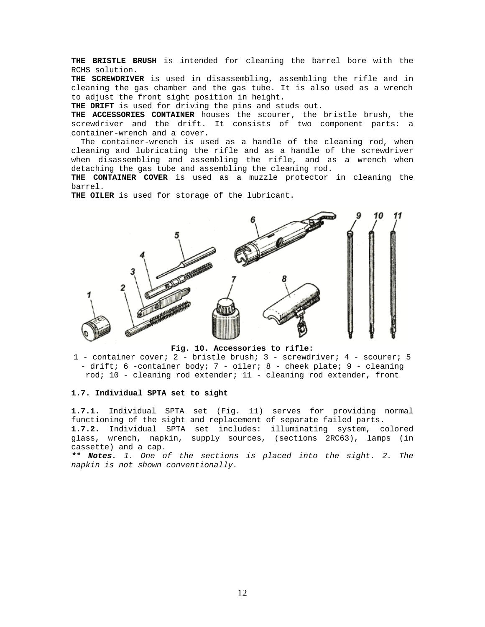**THE BRISTLE BRUSH** is intended for cleaning the barrel bore with the RCHS solution.

**THE SCREWDRIVER** is used in disassembling, assembling the rifle and in cleaning the gas chamber and the gas tube. It is also used as a wrench to adjust the front sight position in height.

**THE DRIFT** is used for driving the pins and studs out.

**THE ACCESSORIES CONTAINER** houses the scourer, the bristle brush, the screwdriver and the drift. It consists of two component parts: a container-wrench and a cover.

 The container-wrench is used as a handle of the cleaning rod, when cleaning and lubricating the rifle and as a handle of the screwdriver when disassembling and assembling the rifle, and as a wrench when detaching the gas tube and assembling the cleaning rod.

**THE CONTAINER COVER** is used as a muzzle protector in cleaning the barrel.

**THE OILER** is used for storage of the lubricant.



**Fig. 10. Accessories to rifle:**

1 - container cover; 2 - bristle brush; 3 - screwdriver; 4 - scourer; 5 - drift; 6 -container body; 7 - oiler; 8 - cheek plate; 9 - cleaning rod; 10 - cleaning rod extender; 11 - cleaning rod extender, front

### **1.7. Individual SPTA set to sight**

**1.7.1.** Individual SPTA set (Fig. 11) serves for providing normal functioning of the sight and replacement of separate failed parts. **1.7.2.** Individual SPTA set includes: illuminating system, colored glass, wrench, napkin, supply sources, (sections 2RC63), lamps (in cassette) and a cap.

*\*\* Notes. 1. One of the sections is placed into the sight. 2. The napkin is not shown conventionally.*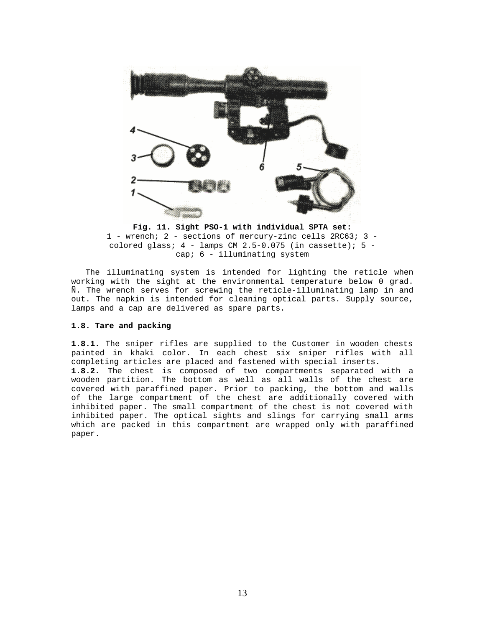

**Fig. 11. Sight PSO-1 with individual SPTA set:** 1 - wrench; 2 - sections of mercury-zinc cells 2RC63; 3 colored glass;  $4$  - lamps CM 2.5-0.075 (in cassette);  $5$  cap; 6 - illuminating system

 The illuminating system is intended for lighting the reticle when working with the sight at the environmental temperature below 0 grad. Ñ. The wrench serves for screwing the reticle-illuminating lamp in and out. The napkin is intended for cleaning optical parts. Supply source, lamps and a cap are delivered as spare parts.

#### **1.8. Tare and packing**

**1.8.1.** The sniper rifles are supplied to the Customer in wooden chests painted in khaki color. In each chest six sniper rifles with all completing articles are placed and fastened with special inserts. **1.8.2.** The chest is composed of two compartments separated with a wooden partition. The bottom as well as all walls of the chest are covered with paraffined paper. Prior to packing, the bottom and walls of the large compartment of the chest are additionally covered with inhibited paper. The small compartment of the chest is not covered with inhibited paper. The optical sights and slings for carrying small arms which are packed in this compartment are wrapped only with paraffined paper.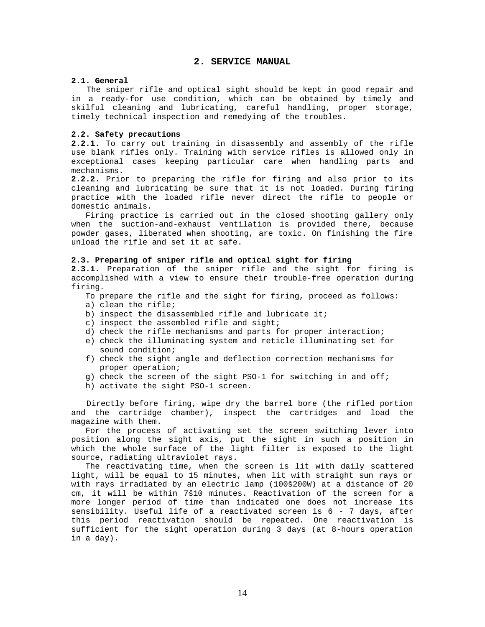## **2. SERVICE MANUAL**

## **2.1. General**

 The sniper rifle and optical sight should be kept in good repair and in a ready-for use condition, which can be obtained by timely and skilful cleaning and lubricating, careful handling, proper storage, timely technical inspection and remedying of the troubles.

#### **2.2. Safety precautions**

**2.2.1.** To carry out training in disassembly and assembly of the rifle use blank rifles only. Training with service rifles is allowed only in exceptional cases keeping particular care when handling parts and mechanisms.

**2.2.2**. Prior to preparing the rifle for firing and also prior to its cleaning and lubricating be sure that it is not loaded. During firing practice with the loaded rifle never direct the rifle to people or domestic animals.

 Firing practice is carried out in the closed shooting gallery only when the suction-and-exhaust ventilation is provided there, because powder gases, liberated when shooting, are toxic. On finishing the fire unload the rifle and set it at safe.

### **2.3. Preparing of sniper rifle and optical sight for firing**

**2.3.1.** Preparation of the sniper rifle and the sight for firing is accomplished with a view to ensure their trouble-free operation during firing.

- To prepare the rifle and the sight for firing, proceed as follows:
- a) clean the rifle;
- b) inspect the disassembled rifle and lubricate it;
- c) inspect the assembled rifle and sight;
- d) check the rifle mechanisms and parts for proper interaction;
- e) check the illuminating system and reticle illuminating set for sound condition;
- f) check the sight angle and deflection correction mechanisms for proper operation;
- g) check the screen of the sight PSO-1 for switching in and off;
- h) activate the sight PSO-1 screen.

 Directly before firing, wipe dry the barrel bore (the rifled portion and the cartridge chamber), inspect the cartridges and load the magazine with them.

 For the process of activating set the screen switching lever into position along the sight axis, put the sight in such a position in which the whole surface of the light filter is exposed to the light source, radiating ultraviolet rays.

 The reactivating time, when the screen is lit with daily scattered light, will be equal to 15 minutes, when lit with straight sun rays or with rays irradiated by an electric lamp (100š200W) at a distance of 20 cm, it will be within 7š10 minutes. Reactivation of the screen for a more longer period of time than indicated one does not increase its sensibility. Useful life of a reactivated screen is 6 - 7 days, after this period reactivation should be repeated. One reactivation is sufficient for the sight operation during 3 days (at 8-hours operation in a day).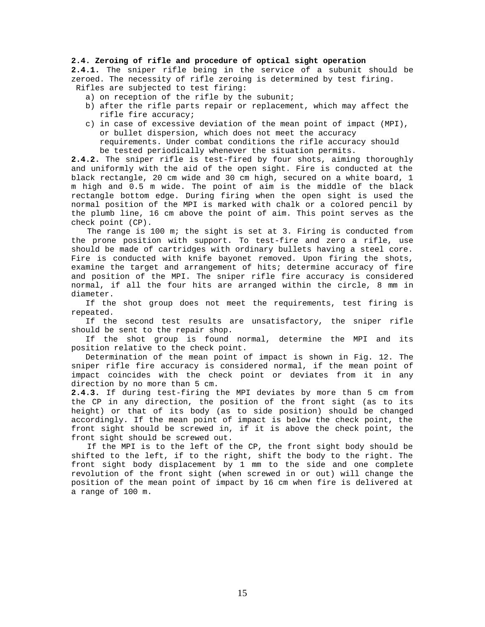## **2.4. Zeroing of rifle and procedure of optical sight operation**

**2.4.1.** The sniper rifle being in the service of a subunit should be zeroed. The necessity of rifle zeroing is determined by test firing. Rifles are subjected to test firing:

- a) on reception of the rifle by the subunit;
- b) after the rifle parts repair or replacement, which may affect the rifle fire accuracy;
- c) in case of excessive deviation of the mean point of impact (MPI), or bullet dispersion, which does not meet the accuracy requirements. Under combat conditions the rifle accuracy should be tested periodically whenever the situation permits.

**2.4.2.** The sniper rifle is test-fired by four shots, aiming thoroughly and uniformly with the aid of the open sight. Fire is conducted at the black rectangle, 20 cm wide and 30 cm high, secured on a white board, 1 m high and 0.5 m wide. The point of aim is the middle of the black rectangle bottom edge. During firing when the open sight is used the normal position of the MPI is marked with chalk or a colored pencil by the plumb line, 16 cm above the point of aim. This point serves as the check point (CP).

The range is 100 m; the sight is set at 3. Firing is conducted from the prone position with support. To test-fire and zero a rifle, use should be made of cartridges with ordinary bullets having a steel core. Fire is conducted with knife bayonet removed. Upon firing the shots, examine the target and arrangement of hits; determine accuracy of fire and position of the MPI. The sniper rifle fire accuracy is considered normal, if all the four hits are arranged within the circle, 8 mm in diameter.

 If the shot group does not meet the requirements, test firing is repeated.

 If the second test results are unsatisfactory, the sniper rifle should be sent to the repair shop.

 If the shot group is found normal, determine the MPI and its position relative to the check point.

 Determination of the mean point of impact is shown in Fig. 12. The sniper rifle fire accuracy is considered normal, if the mean point of impact coincides with the check point or deviates from it in any direction by no more than 5 cm.

**2.4.3.** If during test-firing the MPI deviates by more than 5 cm from the CP in any direction, the position of the front sight (as to its height) or that of its body (as to side position) should be changed accordingly. If the mean point of impact is below the check point, the front sight should be screwed in, if it is above the check point, the front sight should be screwed out.

 If the MPI is to the left of the CP, the front sight body should be shifted to the left, if to the right, shift the body to the right. The front sight body displacement by 1 mm to the side and one complete revolution of the front sight (when screwed in or out) will change the position of the mean point of impact by 16 cm when fire is delivered at a range of 100 m.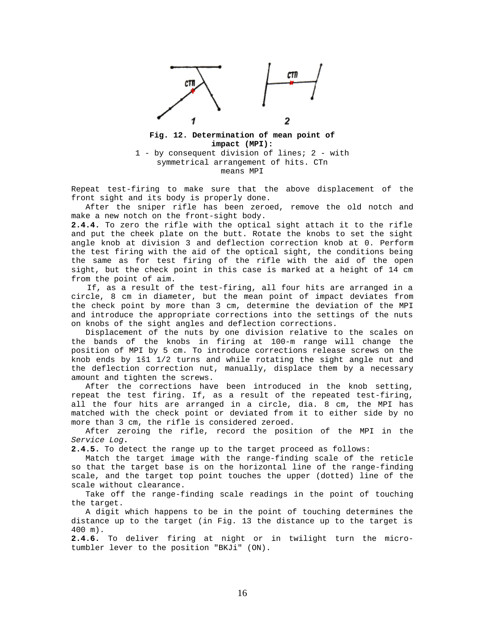

**Fig. 12. Determination of mean point of impact (MPI):**

1 - by consequent division of lines; 2 - with symmetrical arrangement of hits. CTn means MPI

Repeat test-firing to make sure that the above displacement of the front sight and its body is properly done.

 After the sniper rifle has been zeroed, remove the old notch and make a new notch on the front-sight body.

**2.4.4.** To zero the rifle with the optical sight attach it to the rifle and put the cheek plate on the butt. Rotate the knobs to set the sight angle knob at division 3 and deflection correction knob at 0. Perform the test firing with the aid of the optical sight, the conditions being the same as for test firing of the rifle with the aid of the open sight, but the check point in this case is marked at a height of 14 cm from the point of aim.

 If, as a result of the test-firing, all four hits are arranged in a circle, 8 cm in diameter, but the mean point of impact deviates from the check point by more than 3 cm, determine the deviation of the MPI and introduce the appropriate corrections into the settings of the nuts on knobs of the sight angles and deflection corrections.

 Displacement of the nuts by one division relative to the scales on the bands of the knobs in firing at 100-m range will change the position of MPI by 5 cm. To introduce corrections release screws on the knob ends by 1š1 1/2 turns and while rotating the sight angle nut and the deflection correction nut, manually, displace them by a necessary amount and tighten the screws.

 After the corrections have been introduced in the knob setting, repeat the test firing. If, as a result of the repeated test-firing, all the four hits are arranged in a circle, dia. 8 cm, the MPI has matched with the check point or deviated from it to either side by no more than 3 cm, the rifle is considered zeroed.

 After zeroing the rifle, record the position of the MPI in the *Service Log***.**

**2.4.5.** To detect the range up to the target proceed as follows:

 Match the target image with the range-finding scale of the reticle so that the target base is on the horizontal line of the range-finding scale, and the target top point touches the upper (dotted) line of the scale without clearance.

 Take off the range-finding scale readings in the point of touching the target.

 A digit which happens to be in the point of touching determines the distance up to the target (in Fig. 13 the distance up to the target is 400 m).

**2.4.6.** To deliver firing at night or in twilight turn the microtumbler lever to the position "BKJi" (ON).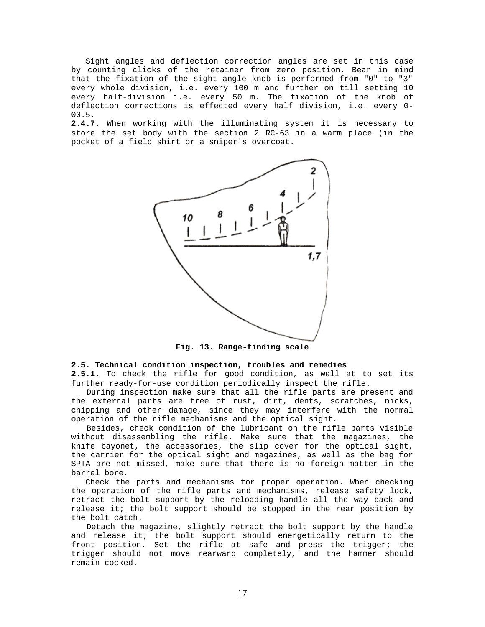Sight angles and deflection correction angles are set in this case by counting clicks of the retainer from zero position. Bear in mind that the fixation of the sight angle knob is performed from "0" to "3" every whole division, i.e. every 100 m and further on till setting 10 every half-division i.e. every 50 m. The fixation of the knob of deflection corrections is effected every half division, i.e. every 0- 00.5.

**2.4.7.** When working with the illuminating system it is necessary to store the set body with the section 2 RC-63 in a warm place (in the pocket of a field shirt or a sniper's overcoat.



**Fig. 13. Range-finding scale**

## **2.5. Technical condition inspection, troubles and remedies**

**2.5.1**. To check the rifle for good condition, as well at to set its further ready-for-use condition periodically inspect the rifle.

 During inspection make sure that all the rifle parts are present and the external parts are free of rust, dirt, dents, scratches, nicks, chipping and other damage, since they may interfere with the normal operation of the rifle mechanisms and the optical sight.

 Besides, check condition of the lubricant on the rifle parts visible without disassembling the rifle. Make sure that the magazines, the knife bayonet, the accessories, the slip cover for the optical sight, the carrier for the optical sight and magazines, as well as the bag for SPTA are not missed, make sure that there is no foreign matter in the barrel bore.

 Check the parts and mechanisms for proper operation. When checking the operation of the rifle parts and mechanisms, release safety lock, retract the bolt support by the reloading handle all the way back and release it; the bolt support should be stopped in the rear position by the bolt catch.

 Detach the magazine, slightly retract the bolt support by the handle and release it; the bolt support should energetically return to the front position. Set the rifle at safe and press the trigger; the trigger should not move rearward completely, and the hammer should remain cocked.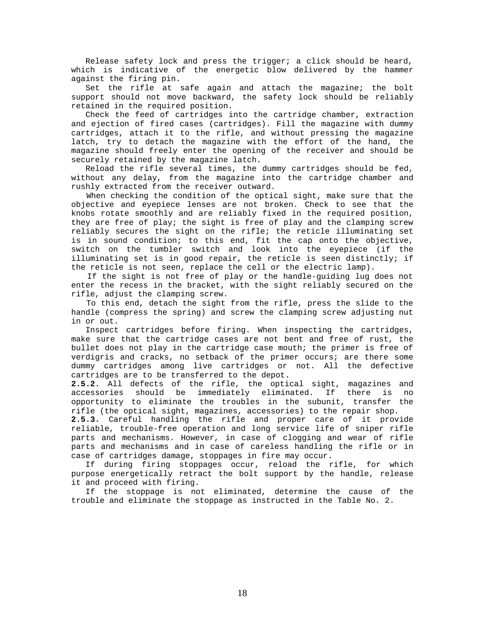Release safety lock and press the trigger; a click should be heard, which is indicative of the energetic blow delivered by the hammer against the firing pin.

 Set the rifle at safe again and attach the magazine; the bolt support should not move backward, the safety lock should be reliably retained in the required position.

 Check the feed of cartridges into the cartridge chamber, extraction and ejection of fired cases (cartridges). Fill the magazine with dummy cartridges, attach it to the rifle, and without pressing the magazine latch, try to detach the magazine with the effort of the hand, the magazine should freely enter the opening of the receiver and should be securely retained by the magazine latch.

 Reload the rifle several times, the dummy cartridges should be fed, without any delay, from the magazine into the cartridge chamber and rushly extracted from the receiver outward.

 When checking the condition of the optical sight, make sure that the objective and eyepiece lenses are not broken. Check to see that the knobs rotate smoothly and are reliably fixed in the required position, they are free of play; the sight is free of play and the clamping screw reliably secures the sight on the rifle; the reticle illuminating set is in sound condition; to this end, fit the cap onto the objective, switch on the tumbler switch and look into the eyepiece (if the illuminating set is in good repair, the reticle is seen distinctly; if the reticle is not seen, replace the cell or the electric lamp).

 If the sight is not free of play or the handle-guiding lug does not enter the recess in the bracket, with the sight reliably secured on the rifle, adjust the clamping screw.

 To this end, detach the sight from the rifle, press the slide to the handle (compress the spring) and screw the clamping screw adjusting nut in or out.

 Inspect cartridges before firing. When inspecting the cartridges, make sure that the cartridge cases are not bent and free of rust, the bullet does not play in the cartridge case mouth; the primer is free of verdigris and cracks, no setback of the primer occurs; are there some dummy cartridges among live cartridges or not. All the defective cartridges are to be transferred to the depot.

**2.5.2.** All defects of the rifle, the optical sight, magazines and accessories should be immediately eliminated. If there is no opportunity to eliminate the troubles in the subunit, transfer the rifle (the optical sight, magazines, accessories) to the repair shop.

**2.5.3.** Careful handling the rifle and proper care of it provide reliable, trouble-free operation and long service life of sniper rifle parts and mechanisms. However, in case of clogging and wear of rifle parts and mechanisms and in case of careless handling the rifle or in case of cartridges damage, stoppages in fire may occur.

 If during firing stoppages occur, reload the rifle, for which purpose energetically retract the bolt support by the handle, release it and proceed with firing.

 If the stoppage is not eliminated, determine the cause of the trouble and eliminate the stoppage as instructed in the Table No. 2.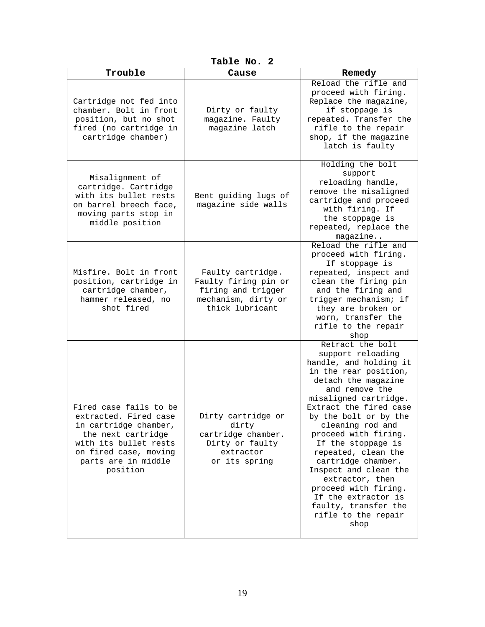| Table No. 2 |
|-------------|
|-------------|

| Trouble                                                                                                                                                                             | Cause                                                                                                     | Remedy                                                                                                                                                                                                                                                                                                                                                                                                                                                                         |
|-------------------------------------------------------------------------------------------------------------------------------------------------------------------------------------|-----------------------------------------------------------------------------------------------------------|--------------------------------------------------------------------------------------------------------------------------------------------------------------------------------------------------------------------------------------------------------------------------------------------------------------------------------------------------------------------------------------------------------------------------------------------------------------------------------|
| Cartridge not fed into<br>chamber. Bolt in front<br>position, but no shot<br>fired (no cartridge in<br>cartridge chamber)                                                           | Dirty or faulty<br>magazine. Faulty<br>magazine latch                                                     | Reload the rifle and<br>proceed with firing.<br>Replace the magazine,<br>if stoppage is<br>repeated. Transfer the<br>rifle to the repair<br>shop, if the magazine<br>latch is faulty                                                                                                                                                                                                                                                                                           |
| Misalignment of<br>cartridge. Cartridge<br>with its bullet rests<br>on barrel breech face,<br>moving parts stop in<br>middle position                                               | Bent guiding lugs of<br>magazine side walls                                                               | Holding the bolt<br>support<br>reloading handle,<br>remove the misaligned<br>cartridge and proceed<br>with firing. If<br>the stoppage is<br>repeated, replace the<br>magazine                                                                                                                                                                                                                                                                                                  |
| Misfire. Bolt in front<br>position, cartridge in<br>cartridge chamber,<br>hammer released, no<br>shot fired                                                                         | Faulty cartridge.<br>Faulty firing pin or<br>firing and trigger<br>mechanism, dirty or<br>thick lubricant | Reload the rifle and<br>proceed with firing.<br>If stoppage is<br>repeated, inspect and<br>clean the firing pin<br>and the firing and<br>trigger mechanism; if<br>they are broken or<br>worn, transfer the<br>rifle to the repair<br>shop                                                                                                                                                                                                                                      |
| Fired case fails to be<br>extracted. Fired case<br>in cartridge chamber,<br>the next cartridge<br>with its bullet rests<br>on fired case, moving<br>parts are in middle<br>position | Dirty cartridge or<br>dirty<br>cartridge chamber.<br>Dirty or faulty<br>extractor<br>or its spring        | Retract the bolt<br>support reloading<br>handle, and holding it<br>in the rear position,<br>detach the magazine<br>and remove the<br>misaligned cartridge.<br>Extract the fired case<br>by the bolt or by the<br>cleaning rod and<br>proceed with firing.<br>If the stoppage is<br>repeated, clean the<br>cartridge chamber.<br>Inspect and clean the<br>extractor, then<br>proceed with firing.<br>If the extractor is<br>faulty, transfer the<br>rifle to the repair<br>shop |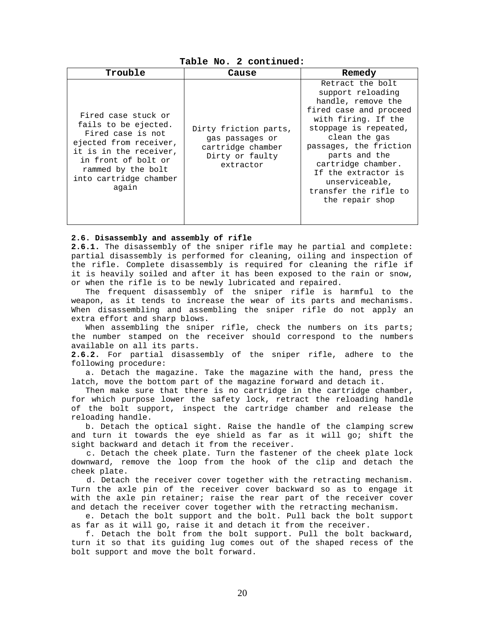**Table No. 2 continued:**

| Trouble                                                                                                                                                                                              | Cause                                                                                         | Remedy                                                                                                                                                                                                                                                                                                       |
|------------------------------------------------------------------------------------------------------------------------------------------------------------------------------------------------------|-----------------------------------------------------------------------------------------------|--------------------------------------------------------------------------------------------------------------------------------------------------------------------------------------------------------------------------------------------------------------------------------------------------------------|
| Fired case stuck or<br>fails to be ejected.<br>Fired case is not<br>ejected from receiver,<br>it is in the receiver,<br>in front of bolt or<br>rammed by the bolt<br>into cartridge chamber<br>again | Dirty friction parts,<br>gas passages or<br>cartridge chamber<br>Dirty or faulty<br>extractor | Retract the bolt<br>support reloading<br>handle, remove the<br>fired case and proceed<br>with firing. If the<br>stoppage is repeated,<br>clean the gas<br>passages, the friction<br>parts and the<br>cartridge chamber.<br>If the extractor is<br>unserviceable,<br>transfer the rifle to<br>the repair shop |

#### **2.6. Disassembly and assembly of rifle**

**2.6.1.** The disassembly of the sniper rifle may he partial and complete: partial disassembly is performed for cleaning, oiling and inspection of the rifle. Complete disassembly is required for cleaning the rifle if it is heavily soiled and after it has been exposed to the rain or snow, or when the rifle is to be newly lubricated and repaired.

 The frequent disassembly of the sniper rifle is harmful to the weapon, as it tends to increase the wear of its parts and mechanisms. When disassembling and assembling the sniper rifle do not apply an extra effort and sharp blows.

When assembling the sniper rifle, check the numbers on its parts; the number stamped on the receiver should correspond to the numbers available on all its parts.

**2.6.2.** For partial disassembly of the sniper rifle, adhere to the following procedure:

 a. Detach the magazine. Take the magazine with the hand, press the latch, move the bottom part of the magazine forward and detach it.

 Then make sure that there is no cartridge in the cartridge chamber, for which purpose lower the safety lock, retract the reloading handle of the bolt support, inspect the cartridge chamber and release the reloading handle.

 b. Detach the optical sight. Raise the handle of the clamping screw and turn it towards the eye shield as far as it will go; shift the sight backward and detach it from the receiver.

 c. Detach the cheek plate. Turn the fastener of the cheek plate lock downward, remove the loop from the hook of the clip and detach the cheek plate.

 d. Detach the receiver cover together with the retracting mechanism. Turn the axle pin of the receiver cover backward so as to engage it with the axle pin retainer; raise the rear part of the receiver cover and detach the receiver cover together with the retracting mechanism.

 e. Detach the bolt support and the bolt. Pull back the bolt support as far as it will go, raise it and detach it from the receiver.

 f. Detach the bolt from the bolt support. Pull the bolt backward, turn it so that its guiding lug comes out of the shaped recess of the bolt support and move the bolt forward.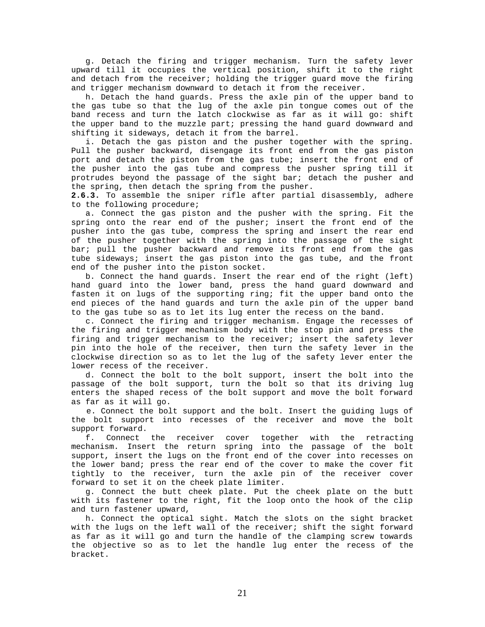g. Detach the firing and trigger mechanism. Turn the safety lever upward till it occupies the vertical position, shift it to the right and detach from the receiver; holding the trigger guard move the firing and trigger mechanism downward to detach it from the receiver.

 h. Detach the hand guards. Press the axle pin of the upper band to the gas tube so that the lug of the axle pin tongue comes out of the band recess and turn the latch clockwise as far as it will go: shift the upper band to the muzzle part; pressing the hand guard downward and shifting it sideways, detach it from the barrel.

 i. Detach the gas piston and the pusher together with the spring. Pull the pusher backward, disengage its front end from the gas piston port and detach the piston from the gas tube; insert the front end of the pusher into the gas tube and compress the pusher spring till it protrudes beyond the passage of the sight bar; detach the pusher and the spring, then detach the spring from the pusher.

**2.6.3.** To assemble the sniper rifle after partial disassembly, adhere to the following procedure;

 a. Connect the gas piston and the pusher with the spring. Fit the spring onto the rear end of the pusher; insert the front end of the pusher into the gas tube, compress the spring and insert the rear end of the pusher together with the spring into the passage of the sight bar; pull the pusher backward and remove its front end from the gas tube sideways; insert the gas piston into the gas tube, and the front end of the pusher into the piston socket.

 b. Connect the hand guards. Insert the rear end of the right (left) hand guard into the lower band, press the hand guard downward and fasten it on lugs of the supporting ring; fit the upper band onto the end pieces of the hand guards and turn the axle pin of the upper band to the gas tube so as to let its lug enter the recess on the band.

 c. Connect the firing and trigger mechanism. Engage the recesses of the firing and trigger mechanism body with the stop pin and press the firing and trigger mechanism to the receiver; insert the safety lever pin into the hole of the receiver, then turn the safety lever in the clockwise direction so as to let the lug of the safety lever enter the lower recess of the receiver.

 d. Connect the bolt to the bolt support, insert the bolt into the passage of the bolt support, turn the bolt so that its driving lug enters the shaped recess of the bolt support and move the bolt forward as far as it will go.

 e. Connect the bolt support and the bolt. Insert the guiding lugs of the bolt support into recesses of the receiver and move the bolt support forward.

 f. Connect the receiver cover together with the retracting mechanism. Insert the return spring into the passage of the bolt support, insert the lugs on the front end of the cover into recesses on the lower band; press the rear end of the cover to make the cover fit tightly to the receiver, turn the axle pin of the receiver cover forward to set it on the cheek plate limiter.

 g. Connect the butt cheek plate. Put the cheek plate on the butt with its fastener to the right, fit the loop onto the hook of the clip and turn fastener upward,

 h. Connect the optical sight. Match the slots on the sight bracket with the lugs on the left wall of the receiver; shift the sight forward as far as it will go and turn the handle of the clamping screw towards the objective so as to let the handle lug enter the recess of the bracket.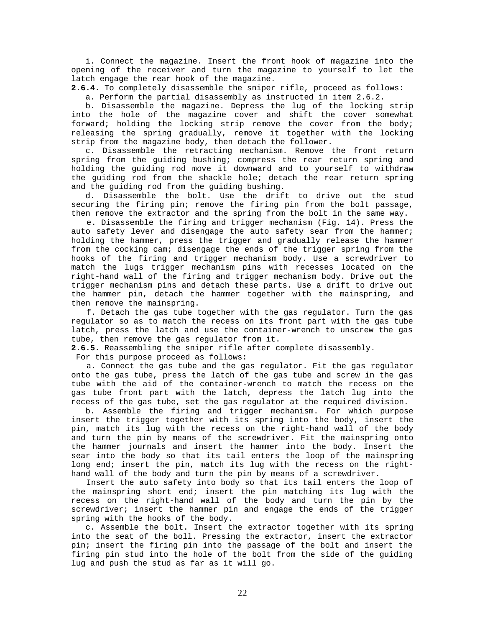i. Connect the magazine. Insert the front hook of magazine into the opening of the receiver and turn the magazine to yourself to let the latch engage the rear hook of the magazine.

**2.6.4.** To completely disassemble the sniper rifle, proceed as follows:

a. Perform the partial disassembly as instructed in item 2.6.2.

 b. Disassemble the magazine. Depress the lug of the locking strip into the hole of the magazine cover and shift the cover somewhat forward; holding the locking strip remove the cover from the body; releasing the spring gradually, remove it together with the locking strip from the magazine body, then detach the follower.

 c. Disassemble the retracting mechanism. Remove the front return spring from the guiding bushing; compress the rear return spring and holding the guiding rod move it downward and to yourself to withdraw the guiding rod from the shackle hole; detach the rear return spring and the guiding rod from the guiding bushing.

 d. Disassemble the bolt. Use the drift to drive out the stud securing the firing pin; remove the firing pin from the bolt passage, then remove the extractor and the spring from the bolt in the same way.

 e. Disassemble the firing and trigger mechanism (Fig. 14). Press the auto safety lever and disengage the auto safety sear from the hammer; holding the hammer, press the trigger and gradually release the hammer from the cocking cam; disengage the ends of the trigger spring from the hooks of the firing and trigger mechanism body. Use a screwdriver to match the lugs trigger mechanism pins with recesses located on the right-hand wall of the firing and trigger mechanism body. Drive out the trigger mechanism pins and detach these parts. Use a drift to drive out the hammer pin, detach the hammer together with the mainspring, and then remove the mainspring.

 f. Detach the gas tube together with the gas regulator. Turn the gas regulator so as to match the recess on its front part with the gas tube latch, press the latch and use the container-wrench to unscrew the gas tube, then remove the gas regulator from it.

**2.6.5.** Reassembling the sniper rifle after complete disassembly.

For this purpose proceed as follows:

 a. Connect the gas tube and the gas regulator. Fit the gas regulator onto the gas tube, press the latch of the gas tube and screw in the gas tube with the aid of the container-wrench to match the recess on the gas tube front part with the latch, depress the latch lug into the recess of the gas tube, set the gas regulator at the required division.

 b. Assemble the firing and trigger mechanism. For which purpose insert the trigger together with its spring into the body, insert the pin, match its lug with the recess on the right-hand wall of the body and turn the pin by means of the screwdriver. Fit the mainspring onto the hammer journals and insert the hammer into the body. Insert the sear into the body so that its tail enters the loop of the mainspring long end; insert the pin, match its lug with the recess on the righthand wall of the body and turn the pin by means of a screwdriver.

 Insert the auto safety into body so that its tail enters the loop of the mainspring short end; insert the pin matching its lug with the recess on the right-hand wall of the body and turn the pin by the screwdriver; insert the hammer pin and engage the ends of the trigger spring with the hooks of the body.

 c. Assemble the bolt. Insert the extractor together with its spring into the seat of the boll. Pressing the extractor, insert the extractor pin; insert the firing pin into the passage of the bolt and insert the firing pin stud into the hole of the bolt from the side of the guiding lug and push the stud as far as it will go.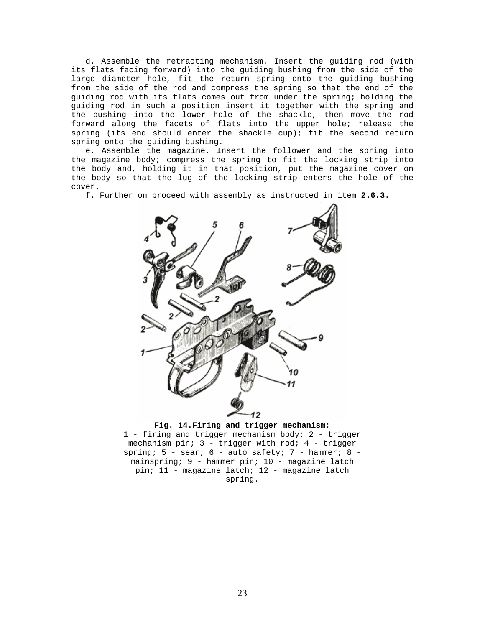d. Assemble the retracting mechanism. Insert the guiding rod (with its flats facing forward) into the guiding bushing from the side of the large diameter hole, fit the return spring onto the guiding bushing from the side of the rod and compress the spring so that the end of the guiding rod with its flats comes out from under the spring; holding the guiding rod in such a position insert it together with the spring and the bushing into the lower hole of the shackle, then move the rod forward along the facets of flats into the upper hole; release the spring (its end should enter the shackle cup); fit the second return spring onto the guiding bushing.

 e. Assemble the magazine. Insert the follower and the spring into the magazine body; compress the spring to fit the locking strip into the body and, holding it in that position, put the magazine cover on the body so that the lug of the locking strip enters the hole of the cover.

f. Further on proceed with assembly as instructed in item **2.6.3.**





1 - firing and trigger mechanism body; 2 - trigger mechanism pin; 3 - trigger with rod; 4 - trigger spring;  $5$  - sear;  $6$  - auto safety;  $7$  - hammer;  $8$  mainspring; 9 - hammer pin; 10 - magazine latch pin; 11 - magazine latch; 12 - magazine latch spring.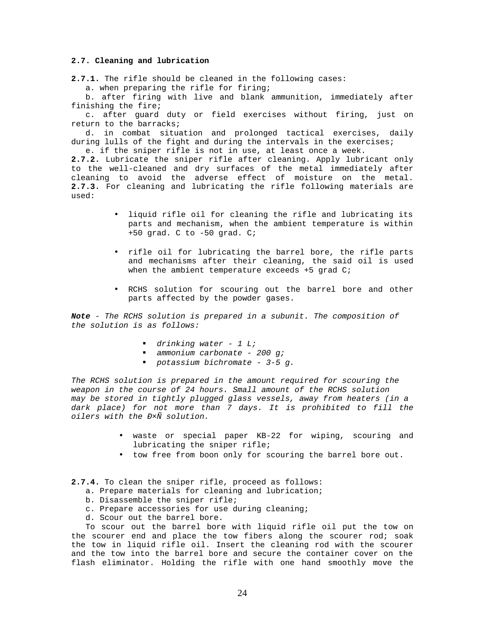## **2.7. Cleaning and lubrication**

**2.7.1.** The rifle should be cleaned in the following cases:

a. when preparing the rifle for firing;

 b. after firing with live and blank ammunition, immediately after finishing the fire;

 c. after guard duty or field exercises without firing, just on return to the barracks;

 d. in combat situation and prolonged tactical exercises, daily during lulls of the fight and during the intervals in the exercises;

e. if the sniper rifle is not in use, at least once a week.

**2.7.2.** Lubricate the sniper rifle after cleaning. Apply lubricant only to the well-cleaned and dry surfaces of the metal immediately after cleaning to avoid the adverse effect of moisture on the metal. **2.7.3.** For cleaning and lubricating the rifle following materials are used:

- liquid rifle oil for cleaning the rifle and lubricating its parts and mechanism, when the ambient temperature is within +50 grad. C to -50 grad. C;
- rifle oil for lubricating the barrel bore, the rifle parts and mechanisms after their cleaning, the said oil is used when the ambient temperature exceeds +5 grad C;
- RCHS solution for scouring out the barrel bore and other parts affected by the powder gases.

*Note - The RCHS solution is prepared in a subunit. The composition of the solution is as follows:* 

- ß *drinking water 1 L;*
- ß *ammonium carbonate 200 g;*
- ß *potassium bichromate 3-5 g.*

*The RCHS solution is prepared in the amount required for scouring the weapon in the course of 24 hours. Small amount of the RCHS solution may be stored in tightly plugged glass vessels, away from heaters (in a dark place) for not more than 7 days. It is prohibited to fill the oilers with the Ð×Ñ solution.*

- waste or special paper KB-22 for wiping, scouring and lubricating the sniper rifle;
- tow free from boon only for scouring the barrel bore out.
- **2.7.4.** To clean the sniper rifle, proceed as follows:
	- a. Prepare materials for cleaning and lubrication;
	- b. Disassemble the sniper rifle;
	- c. Prepare accessories for use during cleaning;
	- d. Scour out the barrel bore.

 To scour out the barrel bore with liquid rifle oil put the tow on the scourer end and place the tow fibers along the scourer rod; soak the tow in liquid rifle oil. Insert the cleaning rod with the scourer and the tow into the barrel bore and secure the container cover on the flash eliminator. Holding the rifle with one hand smoothly move the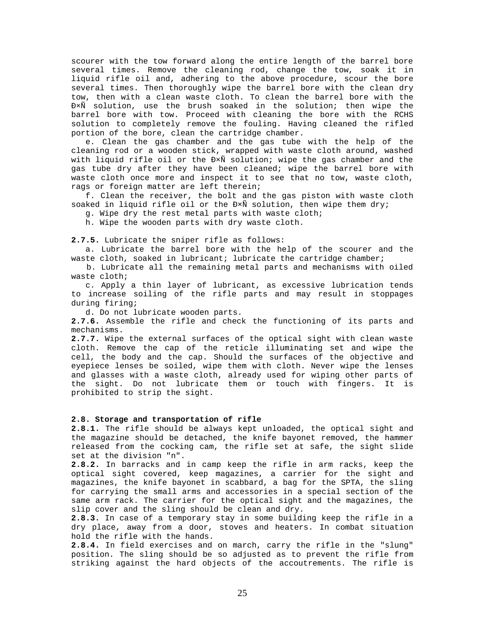scourer with the tow forward along the entire length of the barrel bore several times. Remove the cleaning rod, change the tow, soak it in liquid rifle oil and, adhering to the above procedure, scour the bore several times. Then thoroughly wipe the barrel bore with the clean dry tow, then with a clean waste cloth. To clean the barrel bore with the Ð×Ñ solution, use the brush soaked in the solution; then wipe the barrel bore with tow. Proceed with cleaning the bore with the RCHS solution to completely remove the fouling. Having cleaned the rifled portion of the bore, clean the cartridge chamber.

 e. Clean the gas chamber and the gas tube with the help of the cleaning rod or a wooden stick, wrapped with waste cloth around, washed with liquid rifle oil or the Ð×Ñ solution; wipe the gas chamber and the gas tube dry after they have been cleaned; wipe the barrel bore with waste cloth once more and inspect it to see that no tow, waste cloth, rags or foreign matter are left therein;

 f. Clean the receiver, the bolt and the gas piston with waste cloth soaked in liquid rifle oil or the  $D\times\tilde{N}$  solution, then wipe them dry;

g. Wipe dry the rest metal parts with waste cloth;

h. Wipe the wooden parts with dry waste cloth.

**2.7.5.** Lubricate the sniper rifle as follows:

 a. Lubricate the barrel bore with the help of the scourer and the waste cloth, soaked in lubricant; lubricate the cartridge chamber;

 b. Lubricate all the remaining metal parts and mechanisms with oiled waste cloth;

 c. Apply a thin layer of lubricant, as excessive lubrication tends to increase soiling of the rifle parts and may result in stoppages during firing;

d. Do not lubricate wooden parts.

**2.7.6.** Assemble the rifle and check the functioning of its parts and mechanisms.

**2.7.7.** Wipe the external surfaces of the optical sight with clean waste cloth. Remove the cap of the reticle illuminating set and wipe the cell, the body and the cap. Should the surfaces of the objective and eyepiece lenses be soiled, wipe them with cloth. Never wipe the lenses and glasses with a waste cloth, already used for wiping other parts of the sight. Do not lubricate them or touch with fingers. It is prohibited to strip the sight.

#### **2.8. Storage and transportation of rifle**

**2.8.1.** The rifle should be always kept unloaded, the optical sight and the magazine should be detached, the knife bayonet removed, the hammer released from the cocking cam, the rifle set at safe, the sight slide set at the division "n".

**2.8.2.** In barracks and in camp keep the rifle in arm racks, keep the optical sight covered, keep magazines, a carrier for the sight and magazines, the knife bayonet in scabbard, a bag for the SPTA, the sling for carrying the small arms and accessories in a special section of the same arm rack. The carrier for the optical sight and the magazines, the slip cover and the sling should be clean and dry.

**2.8.3.** In case of a temporary stay in some building keep the rifle in a dry place, away from a door, stoves and heaters. In combat situation hold the rifle with the hands.

**2.8.4.** In field exercises and on march, carry the rifle in the "slung" position. The sling should be so adjusted as to prevent the rifle from striking against the hard objects of the accoutrements. The rifle is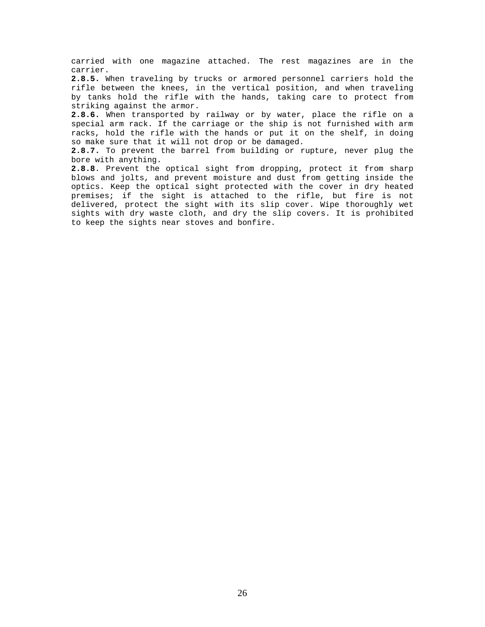carried with one magazine attached. The rest magazines are in the carrier.

**2.8.5.** When traveling by trucks or armored personnel carriers hold the rifle between the knees, in the vertical position, and when traveling by tanks hold the rifle with the hands, taking care to protect from striking against the armor.

**2.8.6.** When transported by railway or by water, place the rifle on a special arm rack. If the carriage or the ship is not furnished with arm racks, hold the rifle with the hands or put it on the shelf, in doing so make sure that it will not drop or be damaged.

**2.8.7.** To prevent the barrel from building or rupture, never plug the bore with anything.

**2.8.8**. Prevent the optical sight from dropping, protect it from sharp blows and jolts, and prevent moisture and dust from getting inside the optics. Keep the optical sight protected with the cover in dry heated premises; if the sight is attached to the rifle, but fire is not delivered, protect the sight with its slip cover. Wipe thoroughly wet sights with dry waste cloth, and dry the slip covers. It is prohibited to keep the sights near stoves and bonfire.